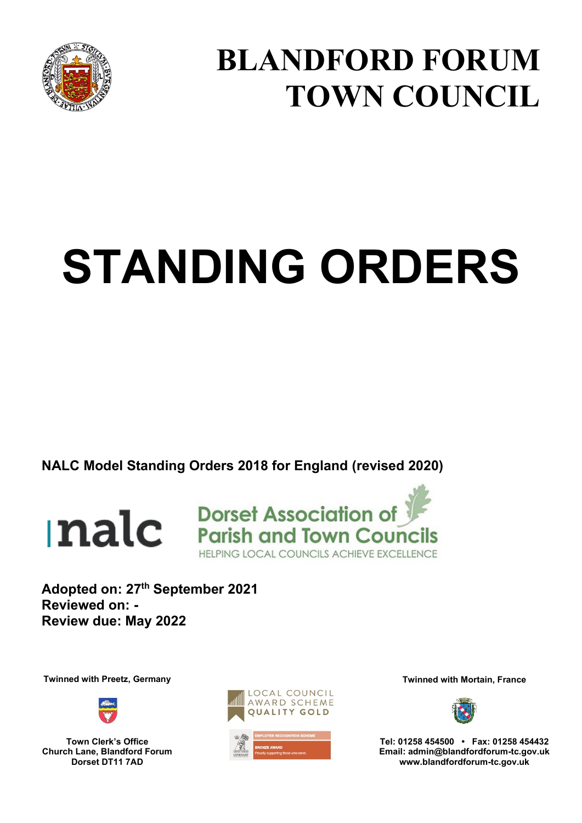

# **BLANDFORD FORUM TOWN COUNCIL**

# **STANDING ORDERS**

**NALC Model Standing Orders 2018 for England (revised 2020)**





**Adopted on: 27th September 2021 Reviewed on: - Review due: May 2022** 

**Twinned with Preetz, Germany Twinned with Mortain, France and Twinned with Mortain, France** 



**Town Clerk's Office Church Lane, Blandford Forum Dorset DT11 7AD** 





**Tel: 01258 454500 • Fax: 01258 454432 Email: admin@blandfordforum-tc.gov.uk www.blandfordforum-tc.gov.uk**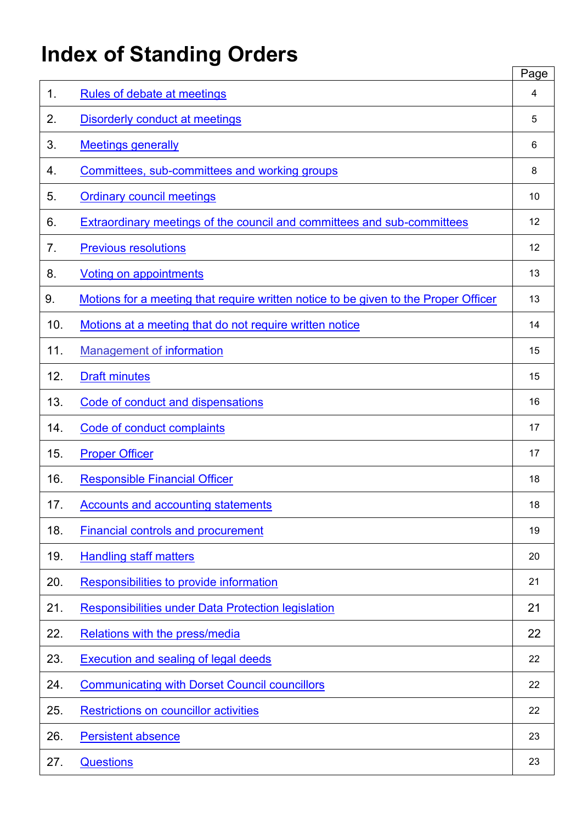# **Index of Standing Orders**

|     |                                                                                     | Page |
|-----|-------------------------------------------------------------------------------------|------|
| 1.  | <b>Rules of debate at meetings</b>                                                  | 4    |
| 2.  | <b>Disorderly conduct at meetings</b>                                               | 5    |
| 3.  | <b>Meetings generally</b>                                                           | 6    |
| 4.  | Committees, sub-committees and working groups                                       | 8    |
| 5.  | <b>Ordinary council meetings</b>                                                    | 10   |
| 6.  | Extraordinary meetings of the council and committees and sub-committees             | 12   |
| 7.  | <b>Previous resolutions</b>                                                         | 12   |
| 8.  | <b>Voting on appointments</b>                                                       | 13   |
| 9.  | Motions for a meeting that require written notice to be given to the Proper Officer | 13   |
| 10. | Motions at a meeting that do not require written notice                             | 14   |
| 11. | <b>Management of information</b>                                                    | 15   |
| 12. | <b>Draft minutes</b>                                                                | 15   |
| 13. | Code of conduct and dispensations                                                   | 16   |
| 14. | Code of conduct complaints                                                          | 17   |
| 15. | <b>Proper Officer</b>                                                               | 17   |
| 16. | <b>Responsible Financial Officer</b>                                                | 18   |
| 17. | <b>Accounts and accounting statements</b>                                           | 18   |
| 18. | <b>Financial controls and procurement</b>                                           | 19   |
| 19. | <b>Handling staff matters</b>                                                       | 20   |
| 20. | Responsibilities to provide information                                             | 21   |
| 21. | <b>Responsibilities under Data Protection legislation</b>                           | 21   |
| 22. | <b>Relations with the press/media</b>                                               | 22   |
| 23. | <b>Execution and sealing of legal deeds</b>                                         | 22   |
| 24. | <b>Communicating with Dorset Council councillors</b>                                | 22   |
| 25. | Restrictions on councillor activities                                               | 22   |
| 26. | <b>Persistent absence</b>                                                           | 23   |
| 27. | <b>Questions</b>                                                                    | 23   |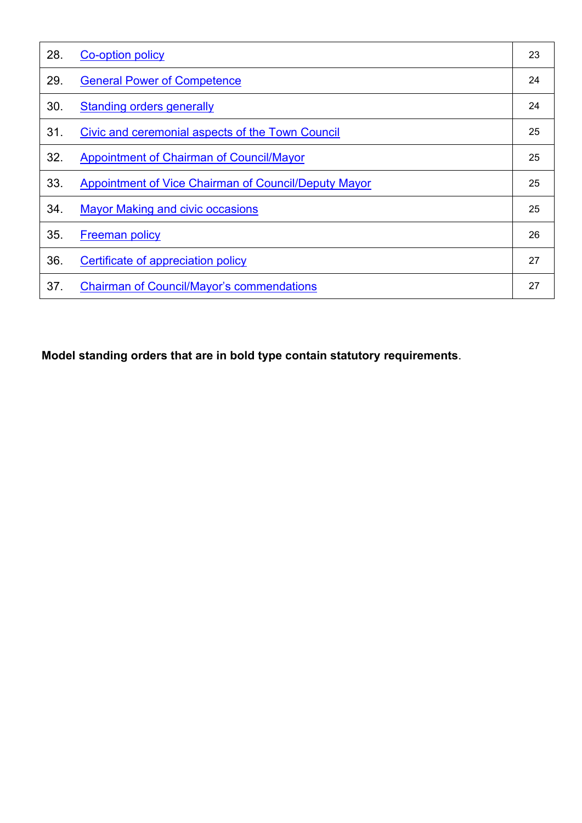| 28. | Co-option policy                                     | 23 |
|-----|------------------------------------------------------|----|
| 29. | <b>General Power of Competence</b>                   | 24 |
| 30. | <b>Standing orders generally</b>                     | 24 |
| 31. | Civic and ceremonial aspects of the Town Council     | 25 |
| 32. | <b>Appointment of Chairman of Council/Mayor</b>      | 25 |
| 33. | Appointment of Vice Chairman of Council/Deputy Mayor | 25 |
| 34. | <b>Mayor Making and civic occasions</b>              | 25 |
| 35. | <b>Freeman policy</b>                                | 26 |
| 36. | Certificate of appreciation policy                   | 27 |
| 37. | <b>Chairman of Council/Mayor's commendations</b>     | 27 |

**Model standing orders that are in bold type contain statutory requirements**.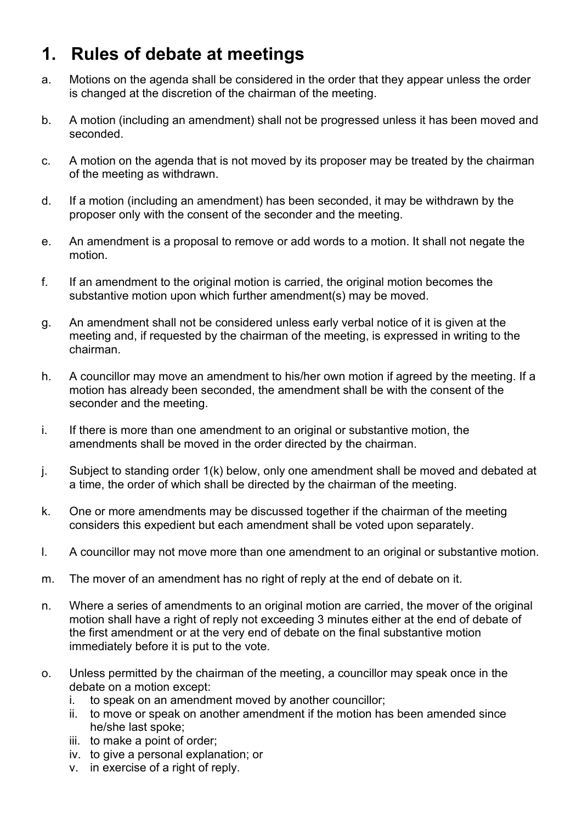#### <span id="page-3-0"></span>**1. Rules of debate at meetings**

- a. Motions on the agenda shall be considered in the order that they appear unless the order is changed at the discretion of the chairman of the meeting.
- b. A motion (including an amendment) shall not be progressed unless it has been moved and seconded.
- c. A motion on the agenda that is not moved by its proposer may be treated by the chairman of the meeting as withdrawn.
- d. If a motion (including an amendment) has been seconded, it may be withdrawn by the proposer only with the consent of the seconder and the meeting.
- e. An amendment is a proposal to remove or add words to a motion. It shall not negate the motion.
- f. If an amendment to the original motion is carried, the original motion becomes the substantive motion upon which further amendment(s) may be moved.
- g. An amendment shall not be considered unless early verbal notice of it is given at the meeting and, if requested by the chairman of the meeting, is expressed in writing to the chairman.
- h. A councillor may move an amendment to his/her own motion if agreed by the meeting. If a motion has already been seconded, the amendment shall be with the consent of the seconder and the meeting.
- i. If there is more than one amendment to an original or substantive motion, the amendments shall be moved in the order directed by the chairman.
- j. Subject to standing order 1(k) below, only one amendment shall be moved and debated at a time, the order of which shall be directed by the chairman of the meeting.
- k. One or more amendments may be discussed together if the chairman of the meeting considers this expedient but each amendment shall be voted upon separately.
- l. A councillor may not move more than one amendment to an original or substantive motion.
- m. The mover of an amendment has no right of reply at the end of debate on it.
- n. Where a series of amendments to an original motion are carried, the mover of the original motion shall have a right of reply not exceeding 3 minutes either at the end of debate of the first amendment or at the very end of debate on the final substantive motion immediately before it is put to the vote.
- o. Unless permitted by the chairman of the meeting, a councillor may speak once in the debate on a motion except:
	- i. to speak on an amendment moved by another councillor;
	- ii. to move or speak on another amendment if the motion has been amended since he/she last spoke;
	- iii. to make a point of order;
	- iv. to give a personal explanation; or
	- v. in exercise of a right of reply.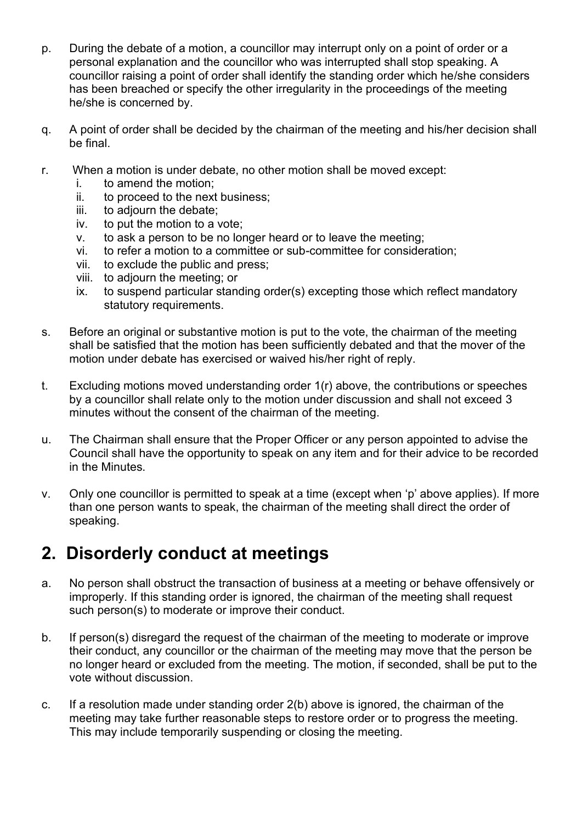- p. During the debate of a motion, a councillor may interrupt only on a point of order or a personal explanation and the councillor who was interrupted shall stop speaking. A councillor raising a point of order shall identify the standing order which he/she considers has been breached or specify the other irregularity in the proceedings of the meeting he/she is concerned by.
- q. A point of order shall be decided by the chairman of the meeting and his/her decision shall be final.
- r. When a motion is under debate, no other motion shall be moved except:
	- i. to amend the motion;
	- ii. to proceed to the next business;
	- iii. to adjourn the debate;
	- iv. to put the motion to a vote;
	- v. to ask a person to be no longer heard or to leave the meeting;
	- vi. to refer a motion to a committee or sub-committee for consideration;
	- vii. to exclude the public and press;
	- viii. to adjourn the meeting; or
	- ix. to suspend particular standing order(s) excepting those which reflect mandatory statutory requirements.
- s. Before an original or substantive motion is put to the vote, the chairman of the meeting shall be satisfied that the motion has been sufficiently debated and that the mover of the motion under debate has exercised or waived his/her right of reply.
- t. Excluding motions moved understanding order 1(r) above, the contributions or speeches by a councillor shall relate only to the motion under discussion and shall not exceed 3 minutes without the consent of the chairman of the meeting.
- u. The Chairman shall ensure that the Proper Officer or any person appointed to advise the Council shall have the opportunity to speak on any item and for their advice to be recorded in the Minutes.
- v. Only one councillor is permitted to speak at a time (except when 'p' above applies). If more than one person wants to speak, the chairman of the meeting shall direct the order of speaking.

#### <span id="page-4-0"></span>**2. Disorderly conduct at meetings**

- a. No person shall obstruct the transaction of business at a meeting or behave offensively or improperly. If this standing order is ignored, the chairman of the meeting shall request such person(s) to moderate or improve their conduct.
- b. If person(s) disregard the request of the chairman of the meeting to moderate or improve their conduct, any councillor or the chairman of the meeting may move that the person be no longer heard or excluded from the meeting. The motion, if seconded, shall be put to the vote without discussion.
- c. If a resolution made under standing order 2(b) above is ignored, the chairman of the meeting may take further reasonable steps to restore order or to progress the meeting. This may include temporarily suspending or closing the meeting.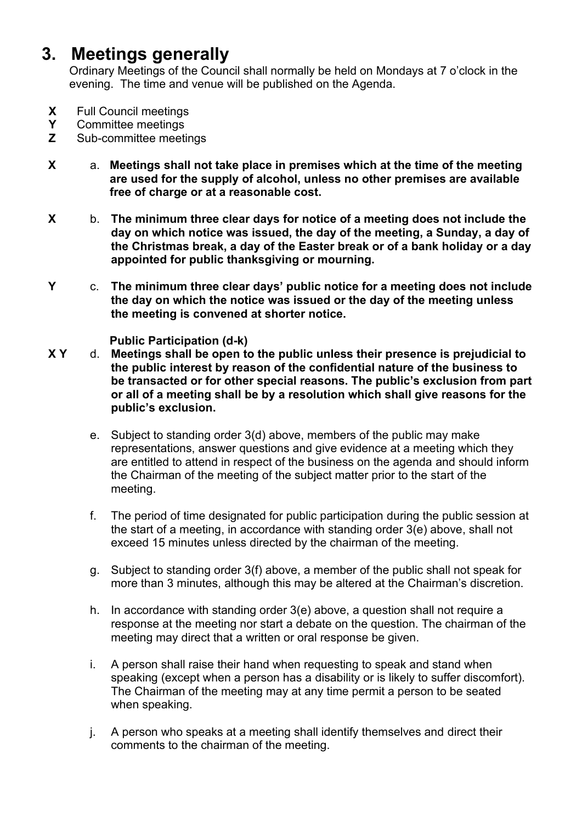#### **3. Meetings generally**

<span id="page-5-0"></span>Ordinary Meetings of the Council shall normally be held on Mondays at 7 o'clock in the evening. The time and venue will be published on the Agenda.

- **X** Full Council meetings
- **Y** Committee meetings
- **Z** Sub-committee meetings
- **X** a. **Meetings shall not take place in premises which at the time of the meeting are used for the supply of alcohol, unless no other premises are available free of charge or at a reasonable cost.**
- **X** b. **The minimum three clear days for notice of a meeting does not include the day on which notice was issued, the day of the meeting, a Sunday, a day of the Christmas break, a day of the Easter break or of a bank holiday or a day appointed for public thanksgiving or mourning.**
- **Y** c. **The minimum three clear days' public notice for a meeting does not include the day on which the notice was issued or the day of the meeting unless the meeting is convened at shorter notice.**

 **Public Participation (d-k)** 

- **X Y** d. **Meetings shall be open to the public unless their presence is prejudicial to the public interest by reason of the confidential nature of the business to be transacted or for other special reasons. The public's exclusion from part or all of a meeting shall be by a resolution which shall give reasons for the public's exclusion.**
	- e. Subject to standing order 3(d) above, members of the public may make representations, answer questions and give evidence at a meeting which they are entitled to attend in respect of the business on the agenda and should inform the Chairman of the meeting of the subject matter prior to the start of the meeting.
	- f. The period of time designated for public participation during the public session at the start of a meeting, in accordance with standing order 3(e) above, shall not exceed 15 minutes unless directed by the chairman of the meeting.
	- g. Subject to standing order 3(f) above, a member of the public shall not speak for more than 3 minutes, although this may be altered at the Chairman's discretion.
	- h. In accordance with standing order 3(e) above, a question shall not require a response at the meeting nor start a debate on the question. The chairman of the meeting may direct that a written or oral response be given.
	- i. A person shall raise their hand when requesting to speak and stand when speaking (except when a person has a disability or is likely to suffer discomfort). The Chairman of the meeting may at any time permit a person to be seated when speaking.
	- j. A person who speaks at a meeting shall identify themselves and direct their comments to the chairman of the meeting.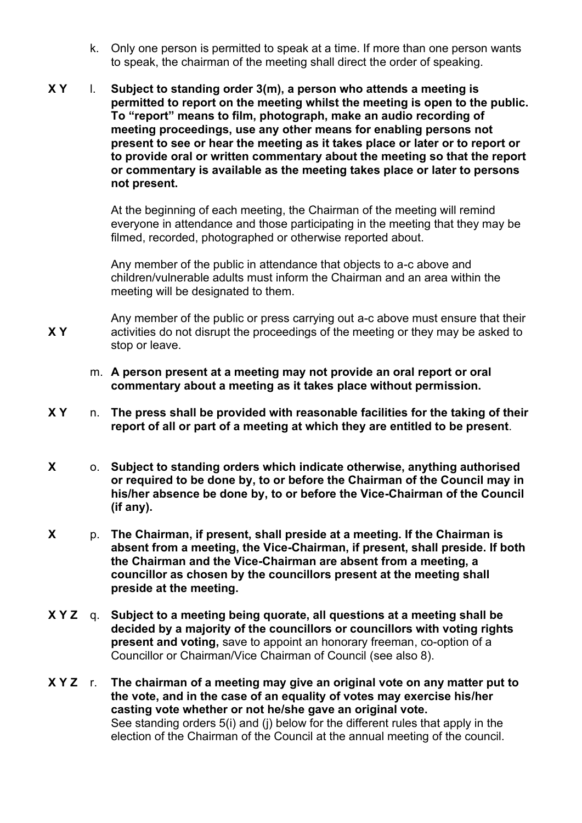- k. Only one person is permitted to speak at a time. If more than one person wants to speak, the chairman of the meeting shall direct the order of speaking.
- **X Y**  l. **Subject to standing order 3(m), a person who attends a meeting is permitted to report on the meeting whilst the meeting is open to the public. To "report" means to film, photograph, make an audio recording of meeting proceedings, use any other means for enabling persons not present to see or hear the meeting as it takes place or later or to report or to provide oral or written commentary about the meeting so that the report or commentary is available as the meeting takes place or later to persons not present.**

At the beginning of each meeting, the Chairman of the meeting will remind everyone in attendance and those participating in the meeting that they may be filmed, recorded, photographed or otherwise reported about.

Any member of the public in attendance that objects to a-c above and children/vulnerable adults must inform the Chairman and an area within the meeting will be designated to them.

**X Y**  Any member of the public or press carrying out a-c above must ensure that their activities do not disrupt the proceedings of the meeting or they may be asked to stop or leave.

- m. **A person present at a meeting may not provide an oral report or oral commentary about a meeting as it takes place without permission.**
- **X Y** n. **The press shall be provided with reasonable facilities for the taking of their report of all or part of a meeting at which they are entitled to be present**.
- **X** o. **Subject to standing orders which indicate otherwise, anything authorised or required to be done by, to or before the Chairman of the Council may in his/her absence be done by, to or before the Vice-Chairman of the Council (if any).**
- **X** p. **The Chairman, if present, shall preside at a meeting. If the Chairman is absent from a meeting, the Vice-Chairman, if present, shall preside. If both the Chairman and the Vice-Chairman are absent from a meeting, a councillor as chosen by the councillors present at the meeting shall preside at the meeting.**
- **X Y Z** q. **Subject to a meeting being quorate, all questions at a meeting shall be decided by a majority of the councillors or councillors with voting rights present and voting,** save to appoint an honorary freeman, co-option of a Councillor or Chairman/Vice Chairman of Council (see also 8).
- **X Y Z** r. **The chairman of a meeting may give an original vote on any matter put to the vote, and in the case of an equality of votes may exercise his/her casting vote whether or not he/she gave an original vote.**  See standing orders 5(i) and (j) below for the different rules that apply in the election of the Chairman of the Council at the annual meeting of the council.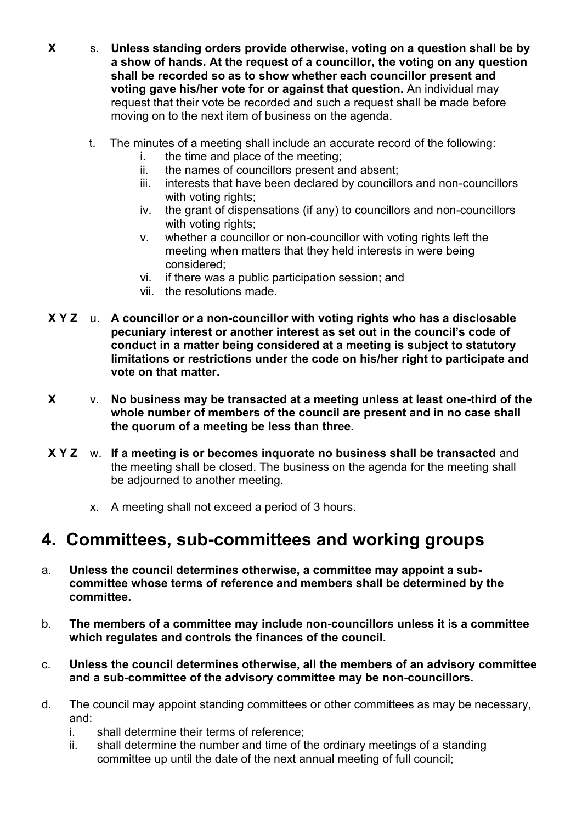- **X** s. **Unless standing orders provide otherwise, voting on a question shall be by a show of hands. At the request of a councillor, the voting on any question shall be recorded so as to show whether each councillor present and voting gave his/her vote for or against that question.** An individual may request that their vote be recorded and such a request shall be made before moving on to the next item of business on the agenda.
	- t. The minutes of a meeting shall include an accurate record of the following:
		- i. the time and place of the meeting;
		- ii. the names of councillors present and absent;
		- iii. interests that have been declared by councillors and non-councillors with voting rights;
		- iv. the grant of dispensations (if any) to councillors and non-councillors with voting rights;
		- v. whether a councillor or non-councillor with voting rights left the meeting when matters that they held interests in were being considered;
		- vi. if there was a public participation session; and
		- vii. the resolutions made.
- **X Y Z** u. **A councillor or a non-councillor with voting rights who has a disclosable pecuniary interest or another interest as set out in the council's code of conduct in a matter being considered at a meeting is subject to statutory limitations or restrictions under the code on his/her right to participate and vote on that matter.**
- **X** v. **No business may be transacted at a meeting unless at least one-third of the whole number of members of the council are present and in no case shall the quorum of a meeting be less than three.**
- **X Y Z** w. **If a meeting is or becomes inquorate no business shall be transacted** and the meeting shall be closed. The business on the agenda for the meeting shall be adjourned to another meeting.
	- x. A meeting shall not exceed a period of 3 hours.

#### <span id="page-7-0"></span>**4. Committees, sub-committees and working groups**

- a. **Unless the council determines otherwise, a committee may appoint a subcommittee whose terms of reference and members shall be determined by the committee.**
- b. **The members of a committee may include non-councillors unless it is a committee which regulates and controls the finances of the council.**
- c. **Unless the council determines otherwise, all the members of an advisory committee and a sub-committee of the advisory committee may be non-councillors.**
- d. The council may appoint standing committees or other committees as may be necessary, and:
	- i. shall determine their terms of reference;
	- ii. shall determine the number and time of the ordinary meetings of a standing committee up until the date of the next annual meeting of full council;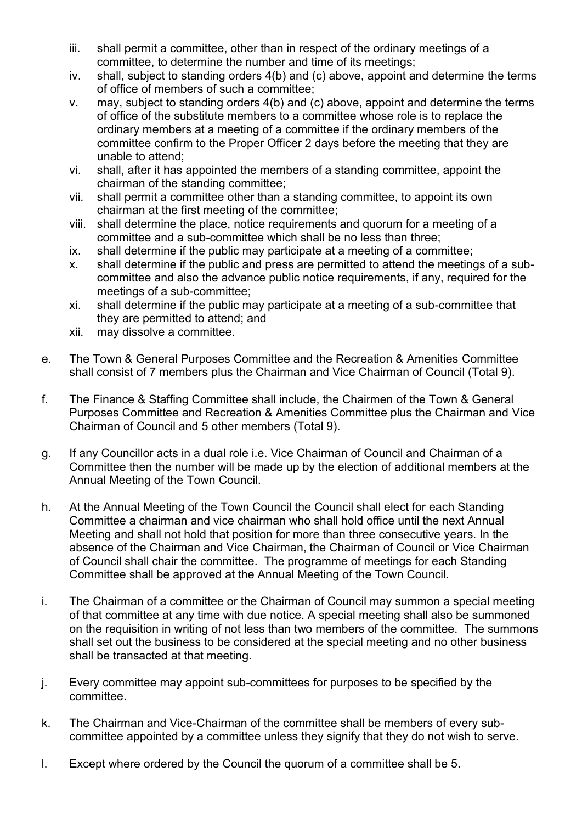- iii. shall permit a committee, other than in respect of the ordinary meetings of a committee, to determine the number and time of its meetings;
- iv. shall, subject to standing orders 4(b) and (c) above, appoint and determine the terms of office of members of such a committee;
- v. may, subject to standing orders 4(b) and (c) above, appoint and determine the terms of office of the substitute members to a committee whose role is to replace the ordinary members at a meeting of a committee if the ordinary members of the committee confirm to the Proper Officer 2 days before the meeting that they are unable to attend;
- vi. shall, after it has appointed the members of a standing committee, appoint the chairman of the standing committee;
- vii. shall permit a committee other than a standing committee, to appoint its own chairman at the first meeting of the committee;
- viii. shall determine the place, notice requirements and quorum for a meeting of a committee and a sub-committee which shall be no less than three;
- ix. shall determine if the public may participate at a meeting of a committee;
- x. shall determine if the public and press are permitted to attend the meetings of a subcommittee and also the advance public notice requirements, if any, required for the meetings of a sub-committee;
- xi. shall determine if the public may participate at a meeting of a sub-committee that they are permitted to attend; and
- xii. may dissolve a committee.
- e. The Town & General Purposes Committee and the Recreation & Amenities Committee shall consist of 7 members plus the Chairman and Vice Chairman of Council (Total 9).
- f. The Finance & Staffing Committee shall include, the Chairmen of the Town & General Purposes Committee and Recreation & Amenities Committee plus the Chairman and Vice Chairman of Council and 5 other members (Total 9).
- g. If any Councillor acts in a dual role i.e. Vice Chairman of Council and Chairman of a Committee then the number will be made up by the election of additional members at the Annual Meeting of the Town Council.
- h. At the Annual Meeting of the Town Council the Council shall elect for each Standing Committee a chairman and vice chairman who shall hold office until the next Annual Meeting and shall not hold that position for more than three consecutive years. In the absence of the Chairman and Vice Chairman, the Chairman of Council or Vice Chairman of Council shall chair the committee. The programme of meetings for each Standing Committee shall be approved at the Annual Meeting of the Town Council.
- i. The Chairman of a committee or the Chairman of Council may summon a special meeting of that committee at any time with due notice. A special meeting shall also be summoned on the requisition in writing of not less than two members of the committee. The summons shall set out the business to be considered at the special meeting and no other business shall be transacted at that meeting.
- j. Every committee may appoint sub-committees for purposes to be specified by the committee.
- k. The Chairman and Vice-Chairman of the committee shall be members of every subcommittee appointed by a committee unless they signify that they do not wish to serve.
- l. Except where ordered by the Council the quorum of a committee shall be 5.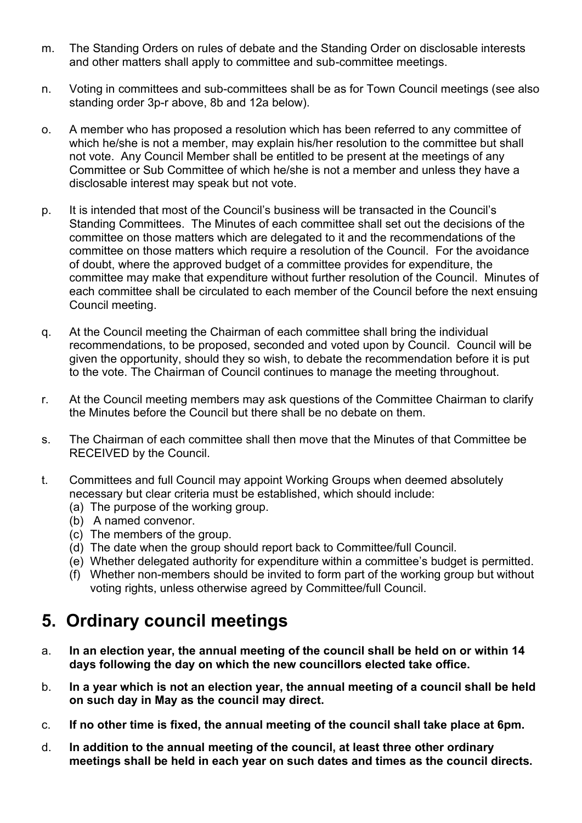- m. The Standing Orders on rules of debate and the Standing Order on disclosable interests and other matters shall apply to committee and sub-committee meetings.
- n. Voting in committees and sub-committees shall be as for Town Council meetings (see also standing order 3p-r above, 8b and 12a below).
- o. A member who has proposed a resolution which has been referred to any committee of which he/she is not a member, may explain his/her resolution to the committee but shall not vote. Any Council Member shall be entitled to be present at the meetings of any Committee or Sub Committee of which he/she is not a member and unless they have a disclosable interest may speak but not vote.
- p. It is intended that most of the Council's business will be transacted in the Council's Standing Committees. The Minutes of each committee shall set out the decisions of the committee on those matters which are delegated to it and the recommendations of the committee on those matters which require a resolution of the Council. For the avoidance of doubt, where the approved budget of a committee provides for expenditure, the committee may make that expenditure without further resolution of the Council. Minutes of each committee shall be circulated to each member of the Council before the next ensuing Council meeting.
- q. At the Council meeting the Chairman of each committee shall bring the individual recommendations, to be proposed, seconded and voted upon by Council. Council will be given the opportunity, should they so wish, to debate the recommendation before it is put to the vote. The Chairman of Council continues to manage the meeting throughout.
- r. At the Council meeting members may ask questions of the Committee Chairman to clarify the Minutes before the Council but there shall be no debate on them.
- s. The Chairman of each committee shall then move that the Minutes of that Committee be RECEIVED by the Council.
- t. Committees and full Council may appoint Working Groups when deemed absolutely necessary but clear criteria must be established, which should include:
	- (a) The purpose of the working group.
	- (b) A named convenor.
	- (c) The members of the group.
	- (d) The date when the group should report back to Committee/full Council.
	- (e) Whether delegated authority for expenditure within a committee's budget is permitted.
	- (f) Whether non-members should be invited to form part of the working group but without voting rights, unless otherwise agreed by Committee/full Council.

#### <span id="page-9-0"></span>**5. Ordinary council meetings**

- a. **In an election year, the annual meeting of the council shall be held on or within 14 days following the day on which the new councillors elected take office.**
- b. **In a year which is not an election year, the annual meeting of a council shall be held on such day in May as the council may direct.**
- c. **If no other time is fixed, the annual meeting of the council shall take place at 6pm.**
- d. **In addition to the annual meeting of the council, at least three other ordinary meetings shall be held in each year on such dates and times as the council directs.**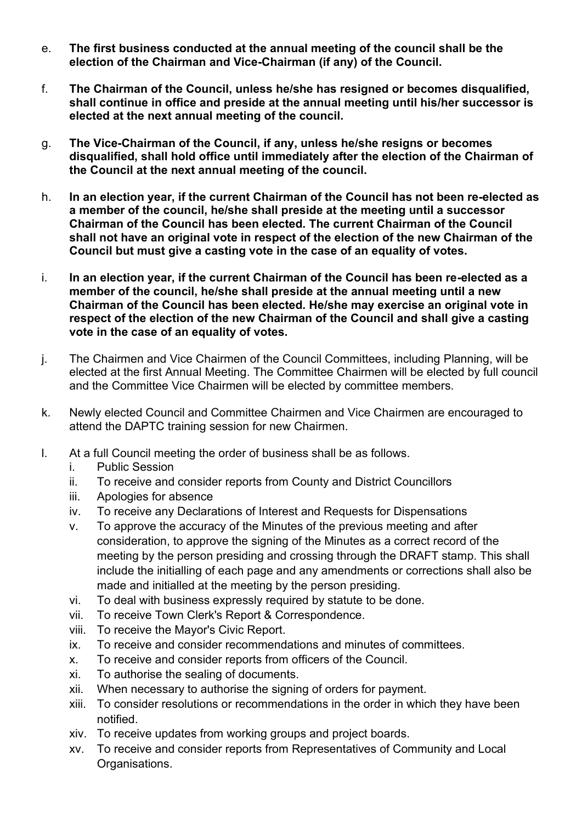- e. **The first business conducted at the annual meeting of the council shall be the election of the Chairman and Vice-Chairman (if any) of the Council.**
- f. **The Chairman of the Council, unless he/she has resigned or becomes disqualified, shall continue in office and preside at the annual meeting until his/her successor is elected at the next annual meeting of the council.**
- g. **The Vice-Chairman of the Council, if any, unless he/she resigns or becomes disqualified, shall hold office until immediately after the election of the Chairman of the Council at the next annual meeting of the council.**
- h. **In an election year, if the current Chairman of the Council has not been re-elected as a member of the council, he/she shall preside at the meeting until a successor Chairman of the Council has been elected. The current Chairman of the Council shall not have an original vote in respect of the election of the new Chairman of the Council but must give a casting vote in the case of an equality of votes.**
- i. **In an election year, if the current Chairman of the Council has been re-elected as a member of the council, he/she shall preside at the annual meeting until a new Chairman of the Council has been elected. He/she may exercise an original vote in respect of the election of the new Chairman of the Council and shall give a casting vote in the case of an equality of votes.**
- j. The Chairmen and Vice Chairmen of the Council Committees, including Planning, will be elected at the first Annual Meeting. The Committee Chairmen will be elected by full council and the Committee Vice Chairmen will be elected by committee members.
- k. Newly elected Council and Committee Chairmen and Vice Chairmen are encouraged to attend the DAPTC training session for new Chairmen.
- l. At a full Council meeting the order of business shall be as follows.
	- i. Public Session
	- ii. To receive and consider reports from County and District Councillors
	- iii. Apologies for absence
	- iv. To receive any Declarations of Interest and Requests for Dispensations
	- v. To approve the accuracy of the Minutes of the previous meeting and after consideration, to approve the signing of the Minutes as a correct record of the meeting by the person presiding and crossing through the DRAFT stamp. This shall include the initialling of each page and any amendments or corrections shall also be made and initialled at the meeting by the person presiding.
	- vi. To deal with business expressly required by statute to be done.
	- vii. To receive Town Clerk's Report & Correspondence.
	- viii. To receive the Mayor's Civic Report.
	- ix. To receive and consider recommendations and minutes of committees.
	- x. To receive and consider reports from officers of the Council.
	- xi. To authorise the sealing of documents.
	- xii. When necessary to authorise the signing of orders for payment.
	- xiii. To consider resolutions or recommendations in the order in which they have been notified.
	- xiv. To receive updates from working groups and project boards.
	- xv. To receive and consider reports from Representatives of Community and Local Organisations.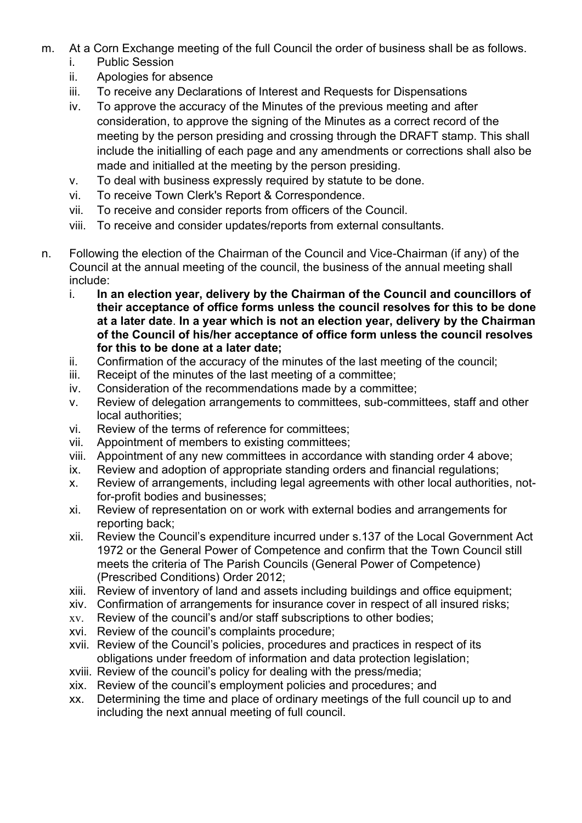- m. At a Corn Exchange meeting of the full Council the order of business shall be as follows.
	- i. Public Session
	- ii. Apologies for absence
	- iii. To receive any Declarations of Interest and Requests for Dispensations
	- iv. To approve the accuracy of the Minutes of the previous meeting and after consideration, to approve the signing of the Minutes as a correct record of the meeting by the person presiding and crossing through the DRAFT stamp. This shall include the initialling of each page and any amendments or corrections shall also be made and initialled at the meeting by the person presiding.
	- v. To deal with business expressly required by statute to be done.
	- vi. To receive Town Clerk's Report & Correspondence.
	- vii. To receive and consider reports from officers of the Council.
	- viii. To receive and consider updates/reports from external consultants.
- n. Following the election of the Chairman of the Council and Vice-Chairman (if any) of the Council at the annual meeting of the council, the business of the annual meeting shall include:
	- i. **In an election year, delivery by the Chairman of the Council and councillors of their acceptance of office forms unless the council resolves for this to be done at a later date**. **In a year which is not an election year, delivery by the Chairman of the Council of his/her acceptance of office form unless the council resolves for this to be done at a later date;**
	- ii. Confirmation of the accuracy of the minutes of the last meeting of the council;
	- iii. Receipt of the minutes of the last meeting of a committee;
	- iv. Consideration of the recommendations made by a committee;
	- v. Review of delegation arrangements to committees, sub-committees, staff and other local authorities;
	- vi. Review of the terms of reference for committees;
	- vii. Appointment of members to existing committees;
	- viii. Appointment of any new committees in accordance with standing order 4 above;
	- ix. Review and adoption of appropriate standing orders and financial regulations;
	- x. Review of arrangements, including legal agreements with other local authorities, notfor-profit bodies and businesses;
	- xi. Review of representation on or work with external bodies and arrangements for reporting back;
	- xii. Review the Council's expenditure incurred under s.137 of the Local Government Act 1972 or the General Power of Competence and confirm that the Town Council still meets the criteria of The Parish Councils (General Power of Competence) (Prescribed Conditions) Order 2012;
	- xiii. Review of inventory of land and assets including buildings and office equipment;
	- xiv. Confirmation of arrangements for insurance cover in respect of all insured risks;
	- xv. Review of the council's and/or staff subscriptions to other bodies;
	- xvi. Review of the council's complaints procedure;
	- xvii. Review of the Council's policies, procedures and practices in respect of its obligations under freedom of information and data protection legislation;
	- xviii. Review of the council's policy for dealing with the press/media;
	- xix. Review of the council's employment policies and procedures; and
	- xx. Determining the time and place of ordinary meetings of the full council up to and including the next annual meeting of full council.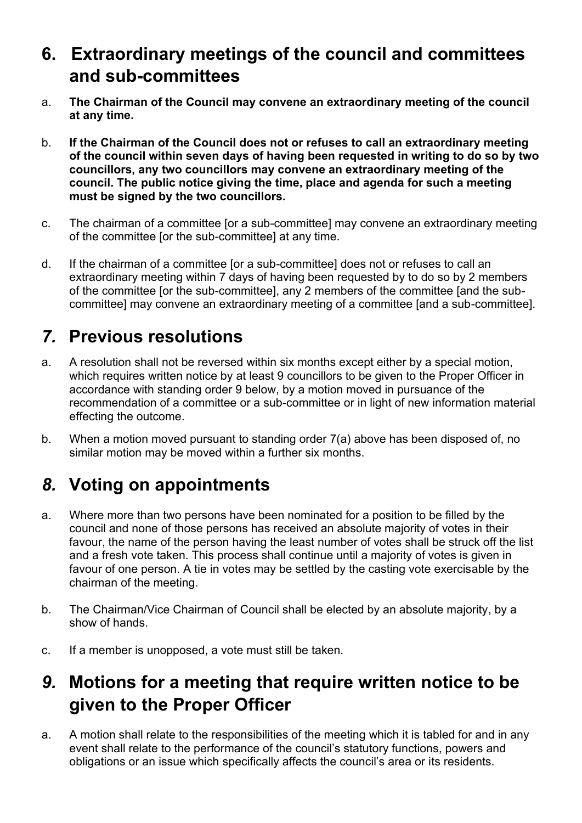#### <span id="page-12-0"></span>**6. Extraordinary meetings of the council and committees and sub-committees**

- a. **The Chairman of the Council may convene an extraordinary meeting of the council at any time.**
- b. **If the Chairman of the Council does not or refuses to call an extraordinary meeting of the council within seven days of having been requested in writing to do so by two councillors, any two councillors may convene an extraordinary meeting of the council. The public notice giving the time, place and agenda for such a meeting must be signed by the two councillors.**
- c. The chairman of a committee [or a sub-committee] may convene an extraordinary meeting of the committee [or the sub-committee] at any time.
- d. If the chairman of a committee [or a sub-committee] does not or refuses to call an extraordinary meeting within 7 days of having been requested by to do so by 2 members of the committee [or the sub-committee], any 2 members of the committee [and the subcommittee] may convene an extraordinary meeting of a committee [and a sub-committee].

# <span id="page-12-1"></span>*7.* **Previous resolutions**

- a. A resolution shall not be reversed within six months except either by a special motion, which requires written notice by at least 9 councillors to be given to the Proper Officer in accordance with standing order 9 below, by a motion moved in pursuance of the recommendation of a committee or a sub-committee or in light of new information material effecting the outcome.
- b. When a motion moved pursuant to standing order 7(a) above has been disposed of, no similar motion may be moved within a further six months.

# <span id="page-12-2"></span>*8.* **Voting on appointments**

- a. Where more than two persons have been nominated for a position to be filled by the council and none of those persons has received an absolute majority of votes in their favour, the name of the person having the least number of votes shall be struck off the list and a fresh vote taken. This process shall continue until a majority of votes is given in favour of one person. A tie in votes may be settled by the casting vote exercisable by the chairman of the meeting.
- b. The Chairman/Vice Chairman of Council shall be elected by an absolute majority, by a show of hands.
- c. If a member is unopposed, a vote must still be taken.

#### <span id="page-12-3"></span>*9.* **Motions for a meeting that require written notice to be given to the Proper Officer**

a. A motion shall relate to the responsibilities of the meeting which it is tabled for and in any event shall relate to the performance of the council's statutory functions, powers and obligations or an issue which specifically affects the council's area or its residents.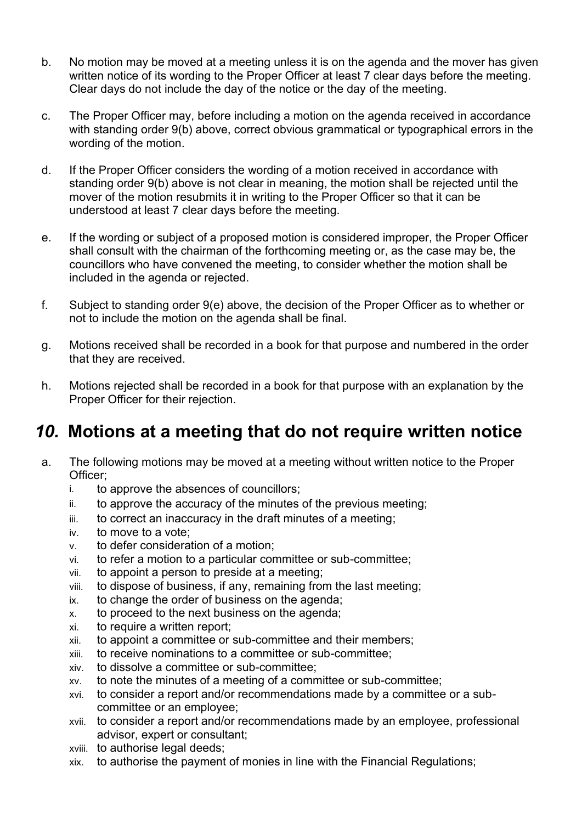- b. No motion may be moved at a meeting unless it is on the agenda and the mover has given written notice of its wording to the Proper Officer at least 7 clear days before the meeting. Clear days do not include the day of the notice or the day of the meeting.
- c. The Proper Officer may, before including a motion on the agenda received in accordance with standing order 9(b) above, correct obvious grammatical or typographical errors in the wording of the motion.
- d. If the Proper Officer considers the wording of a motion received in accordance with standing order 9(b) above is not clear in meaning, the motion shall be rejected until the mover of the motion resubmits it in writing to the Proper Officer so that it can be understood at least 7 clear days before the meeting.
- e. If the wording or subject of a proposed motion is considered improper, the Proper Officer shall consult with the chairman of the forthcoming meeting or, as the case may be, the councillors who have convened the meeting, to consider whether the motion shall be included in the agenda or rejected.
- f. Subject to standing order 9(e) above, the decision of the Proper Officer as to whether or not to include the motion on the agenda shall be final.
- g. Motions received shall be recorded in a book for that purpose and numbered in the order that they are received.
- h. Motions rejected shall be recorded in a book for that purpose with an explanation by the Proper Officer for their rejection.

#### <span id="page-13-0"></span>*10.* **Motions at a meeting that do not require written notice**

- a. The following motions may be moved at a meeting without written notice to the Proper Officer;
	- i. to approve the absences of councillors;
	- ii. to approve the accuracy of the minutes of the previous meeting;
	- iii. to correct an inaccuracy in the draft minutes of a meeting;
	- iv. to move to a vote;
	- v. to defer consideration of a motion;
	- vi. to refer a motion to a particular committee or sub-committee;
	- vii. to appoint a person to preside at a meeting;
	- viii. to dispose of business, if any, remaining from the last meeting;
	- ix. to change the order of business on the agenda;
	- x. to proceed to the next business on the agenda;
	- xi. to require a written report;
	- xii. to appoint a committee or sub-committee and their members;
	- xiii. to receive nominations to a committee or sub-committee;
	- xiv. to dissolve a committee or sub-committee;
	- xv. to note the minutes of a meeting of a committee or sub-committee;
	- xvi. to consider a report and/or recommendations made by a committee or a subcommittee or an employee;
	- xvii. to consider a report and/or recommendations made by an employee, professional advisor, expert or consultant;
	- xviii. to authorise legal deeds;
	- xix. to authorise the payment of monies in line with the Financial Regulations;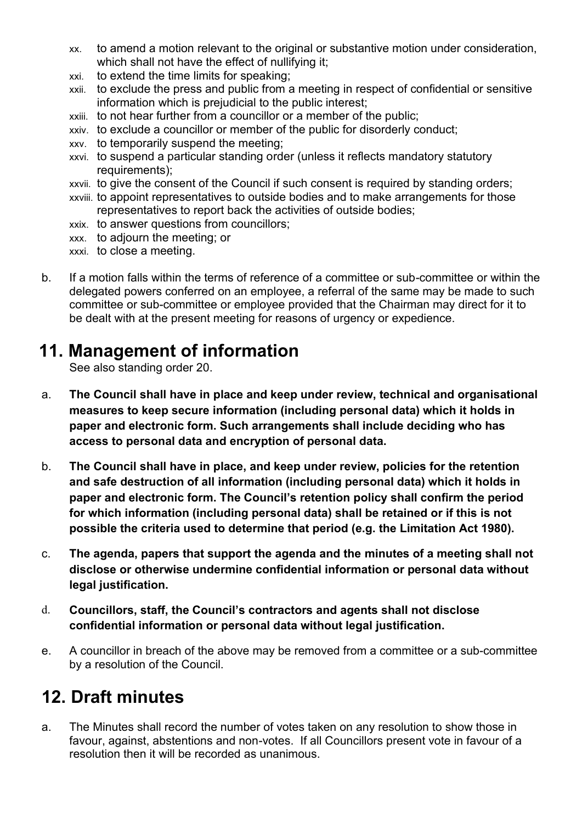- xx. to amend a motion relevant to the original or substantive motion under consideration, which shall not have the effect of nullifying it:
- xxi. to extend the time limits for speaking;
- xxii. to exclude the press and public from a meeting in respect of confidential or sensitive information which is prejudicial to the public interest;
- xxiii. to not hear further from a councillor or a member of the public;
- xxiv. to exclude a councillor or member of the public for disorderly conduct;
- xxv. to temporarily suspend the meeting;
- xxvi. to suspend a particular standing order (unless it reflects mandatory statutory requirements);
- xxvii. to give the consent of the Council if such consent is required by standing orders;
- xxviii. to appoint representatives to outside bodies and to make arrangements for those representatives to report back the activities of outside bodies;
- xxix. to answer questions from councillors;
- xxx. to adjourn the meeting; or
- xxxi. to close a meeting.
- b. If a motion falls within the terms of reference of a committee or sub-committee or within the delegated powers conferred on an employee, a referral of the same may be made to such committee or sub-committee or employee provided that the Chairman may direct for it to be dealt with at the present meeting for reasons of urgency or expedience.

#### <span id="page-14-0"></span>**11. Management of information**

See also standing order 20.

- a. **The Council shall have in place and keep under review, technical and organisational measures to keep secure information (including personal data) which it holds in paper and electronic form. Such arrangements shall include deciding who has access to personal data and encryption of personal data.**
- b. **The Council shall have in place, and keep under review, policies for the retention and safe destruction of all information (including personal data) which it holds in paper and electronic form. The Council's retention policy shall confirm the period for which information (including personal data) shall be retained or if this is not possible the criteria used to determine that period (e.g. the Limitation Act 1980).**
- c. **The agenda, papers that support the agenda and the minutes of a meeting shall not disclose or otherwise undermine confidential information or personal data without legal justification.**
- d. **Councillors, staff, the Council's contractors and agents shall not disclose confidential information or personal data without legal justification.**
- e. A councillor in breach of the above may be removed from a committee or a sub-committee by a resolution of the Council.

#### **12. Draft minutes**

<span id="page-14-1"></span>a. The Minutes shall record the number of votes taken on any resolution to show those in favour, against, abstentions and non-votes. If all Councillors present vote in favour of a resolution then it will be recorded as unanimous.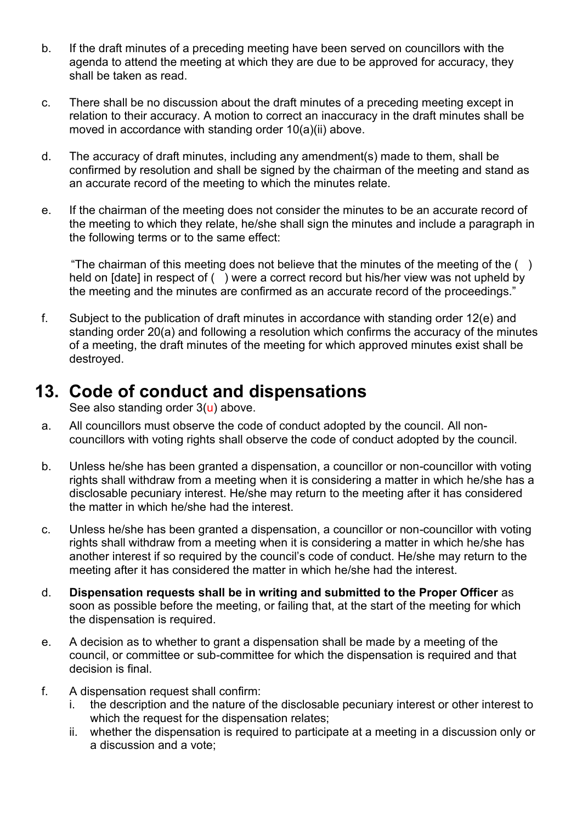- b. If the draft minutes of a preceding meeting have been served on councillors with the agenda to attend the meeting at which they are due to be approved for accuracy, they shall be taken as read.
- c. There shall be no discussion about the draft minutes of a preceding meeting except in relation to their accuracy. A motion to correct an inaccuracy in the draft minutes shall be moved in accordance with standing order 10(a)(ii) above.
- d. The accuracy of draft minutes, including any amendment(s) made to them, shall be confirmed by resolution and shall be signed by the chairman of the meeting and stand as an accurate record of the meeting to which the minutes relate.
- e. If the chairman of the meeting does not consider the minutes to be an accurate record of the meeting to which they relate, he/she shall sign the minutes and include a paragraph in the following terms or to the same effect:

"The chairman of this meeting does not believe that the minutes of the meeting of the  $( )$ held on [date] in respect of () were a correct record but his/her view was not upheld by the meeting and the minutes are confirmed as an accurate record of the proceedings."

f. Subject to the publication of draft minutes in accordance with standing order 12(e) and standing order 20(a) and following a resolution which confirms the accuracy of the minutes of a meeting, the draft minutes of the meeting for which approved minutes exist shall be destroyed.

#### **13. Code of conduct and dispensations**

See also standing order 3(u) above.

- <span id="page-15-0"></span>a. All councillors must observe the code of conduct adopted by the council. All noncouncillors with voting rights shall observe the code of conduct adopted by the council.
- b. Unless he/she has been granted a dispensation, a councillor or non-councillor with voting rights shall withdraw from a meeting when it is considering a matter in which he/she has a disclosable pecuniary interest. He/she may return to the meeting after it has considered the matter in which he/she had the interest.
- c. Unless he/she has been granted a dispensation, a councillor or non-councillor with voting rights shall withdraw from a meeting when it is considering a matter in which he/she has another interest if so required by the council's code of conduct. He/she may return to the meeting after it has considered the matter in which he/she had the interest.
- d. **Dispensation requests shall be in writing and submitted to the Proper Officer** as soon as possible before the meeting, or failing that, at the start of the meeting for which the dispensation is required.
- e. A decision as to whether to grant a dispensation shall be made by a meeting of the council, or committee or sub-committee for which the dispensation is required and that decision is final.
- f. A dispensation request shall confirm:
	- i. the description and the nature of the disclosable pecuniary interest or other interest to which the request for the dispensation relates;
	- ii. whether the dispensation is required to participate at a meeting in a discussion only or a discussion and a vote;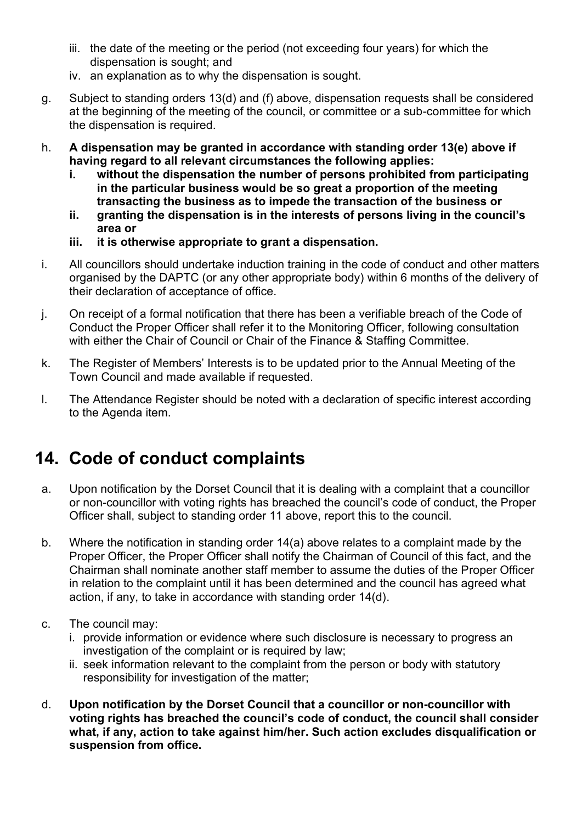- iii. the date of the meeting or the period (not exceeding four years) for which the dispensation is sought; and
- iv. an explanation as to why the dispensation is sought.
- g. Subject to standing orders 13(d) and (f) above, dispensation requests shall be considered at the beginning of the meeting of the council, or committee or a sub-committee for which the dispensation is required.
- h. **A dispensation may be granted in accordance with standing order 13(e) above if having regard to all relevant circumstances the following applies:** 
	- **i. without the dispensation the number of persons prohibited from participating in the particular business would be so great a proportion of the meeting transacting the business as to impede the transaction of the business or**
	- **ii. granting the dispensation is in the interests of persons living in the council's area or**
	- **iii. it is otherwise appropriate to grant a dispensation.**
- i. All councillors should undertake induction training in the code of conduct and other matters organised by the DAPTC (or any other appropriate body) within 6 months of the delivery of their declaration of acceptance of office.
- j. On receipt of a formal notification that there has been a verifiable breach of the Code of Conduct the Proper Officer shall refer it to the Monitoring Officer, following consultation with either the Chair of Council or Chair of the Finance & Staffing Committee.
- k. The Register of Members' Interests is to be updated prior to the Annual Meeting of the Town Council and made available if requested.
- l. The Attendance Register should be noted with a declaration of specific interest according to the Agenda item.

#### **14. Code of conduct complaints**

- <span id="page-16-0"></span>a. Upon notification by the Dorset Council that it is dealing with a complaint that a councillor or non-councillor with voting rights has breached the council's code of conduct, the Proper Officer shall, subject to standing order 11 above, report this to the council.
- b. Where the notification in standing order 14(a) above relates to a complaint made by the Proper Officer, the Proper Officer shall notify the Chairman of Council of this fact, and the Chairman shall nominate another staff member to assume the duties of the Proper Officer in relation to the complaint until it has been determined and the council has agreed what action, if any, to take in accordance with standing order 14(d).
- c. The council may:
	- i. provide information or evidence where such disclosure is necessary to progress an investigation of the complaint or is required by law;
	- ii. seek information relevant to the complaint from the person or body with statutory responsibility for investigation of the matter;
- d. **Upon notification by the Dorset Council that a councillor or non-councillor with voting rights has breached the council's code of conduct, the council shall consider what, if any, action to take against him/her. Such action excludes disqualification or suspension from office.**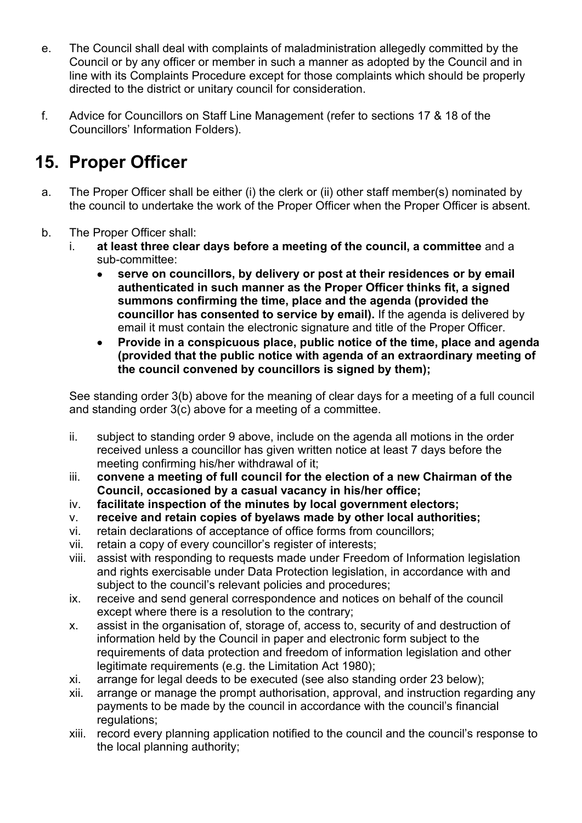- e. The Council shall deal with complaints of maladministration allegedly committed by the Council or by any officer or member in such a manner as adopted by the Council and in line with its Complaints Procedure except for those complaints which should be properly directed to the district or unitary council for consideration.
- f. Advice for Councillors on Staff Line Management (refer to sections 17 & 18 of the Councillors' Information Folders).

#### **15. Proper Officer**

- <span id="page-17-0"></span>a. The Proper Officer shall be either (i) the clerk or (ii) other staff member(s) nominated by the council to undertake the work of the Proper Officer when the Proper Officer is absent.
- b. The Proper Officer shall:
	- i. **at least three clear days before a meeting of the council, a committee** and a sub-committee:
		- • **serve on councillors, by delivery or post at their residences or by email authenticated in such manner as the Proper Officer thinks fit, a signed summons confirming the time, place and the agenda (provided the councillor has consented to service by email).** If the agenda is delivered by email it must contain the electronic signature and title of the Proper Officer.
		- • **Provide in a conspicuous place, public notice of the time, place and agenda (provided that the public notice with agenda of an extraordinary meeting of the council convened by councillors is signed by them);**

See standing order 3(b) above for the meaning of clear days for a meeting of a full council and standing order 3(c) above for a meeting of a committee.

- ii. subject to standing order 9 above, include on the agenda all motions in the order received unless a councillor has given written notice at least 7 days before the meeting confirming his/her withdrawal of it;
- iii. **convene a meeting of full council for the election of a new Chairman of the Council, occasioned by a casual vacancy in his/her office;**
- iv. **facilitate inspection of the minutes by local government electors;**
- v. **receive and retain copies of byelaws made by other local authorities;**
- vi. retain declarations of acceptance of office forms from councillors;
- vii. retain a copy of every councillor's register of interests;
- viii. assist with responding to requests made under Freedom of Information legislation and rights exercisable under Data Protection legislation, in accordance with and subject to the council's relevant policies and procedures;
- ix. receive and send general correspondence and notices on behalf of the council except where there is a resolution to the contrary;
- x. assist in the organisation of, storage of, access to, security of and destruction of information held by the Council in paper and electronic form subject to the requirements of data protection and freedom of information legislation and other legitimate requirements (e.g. the Limitation Act 1980);
- xi. arrange for legal deeds to be executed (see also standing order 23 below);
- xii. arrange or manage the prompt authorisation, approval, and instruction regarding any payments to be made by the council in accordance with the council's financial regulations;
- xiii. record every planning application notified to the council and the council's response to the local planning authority;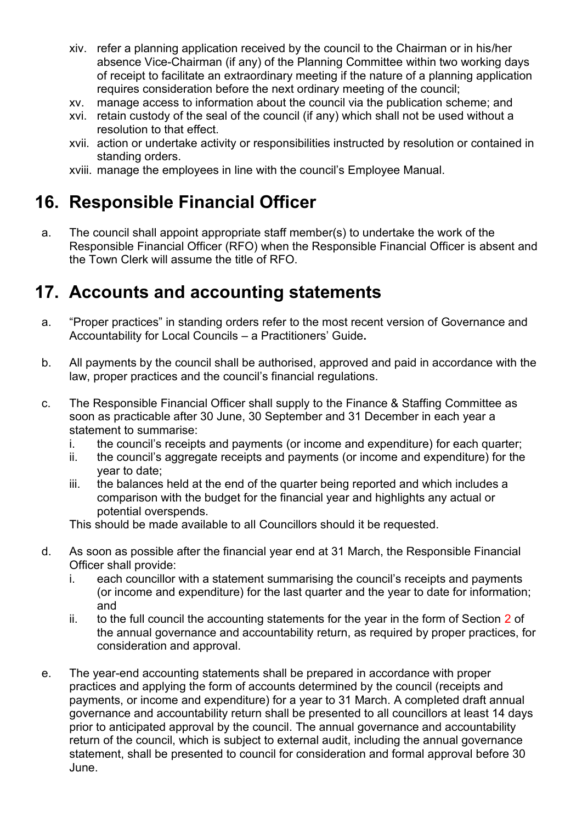- xiv. refer a planning application received by the council to the Chairman or in his/her absence Vice-Chairman (if any) of the Planning Committee within two working days of receipt to facilitate an extraordinary meeting if the nature of a planning application requires consideration before the next ordinary meeting of the council;
- xv. manage access to information about the council via the publication scheme; and
- xvi. retain custody of the seal of the council (if any) which shall not be used without a resolution to that effect.
- xvii. action or undertake activity or responsibilities instructed by resolution or contained in standing orders.

xviii. manage the employees in line with the council's Employee Manual.

#### <span id="page-18-0"></span>**16. Responsible Financial Officer**

a. The council shall appoint appropriate staff member(s) to undertake the work of the Responsible Financial Officer (RFO) when the Responsible Financial Officer is absent and the Town Clerk will assume the title of RFO.

#### <span id="page-18-1"></span>**17. Accounts and accounting statements**

- a. "Proper practices" in standing orders refer to the most recent version of Governance and Accountability for Local Councils – a Practitioners' Guide**.**
- b. All payments by the council shall be authorised, approved and paid in accordance with the law, proper practices and the council's financial regulations.
- c. The Responsible Financial Officer shall supply to the Finance & Staffing Committee as soon as practicable after 30 June, 30 September and 31 December in each year a statement to summarise:
	- i. the council's receipts and payments (or income and expenditure) for each quarter;
	- ii. the council's aggregate receipts and payments (or income and expenditure) for the year to date;
	- iii. the balances held at the end of the quarter being reported and which includes a comparison with the budget for the financial year and highlights any actual or potential overspends.

This should be made available to all Councillors should it be requested.

- d. As soon as possible after the financial year end at 31 March, the Responsible Financial Officer shall provide:
	- i. each councillor with a statement summarising the council's receipts and payments (or income and expenditure) for the last quarter and the year to date for information; and
	- ii. to the full council the accounting statements for the year in the form of Section  $2$  of the annual governance and accountability return, as required by proper practices, for consideration and approval.
- e. The year-end accounting statements shall be prepared in accordance with proper practices and applying the form of accounts determined by the council (receipts and payments, or income and expenditure) for a year to 31 March. A completed draft annual governance and accountability return shall be presented to all councillors at least 14 days prior to anticipated approval by the council. The annual governance and accountability return of the council, which is subject to external audit, including the annual governance statement, shall be presented to council for consideration and formal approval before 30 June.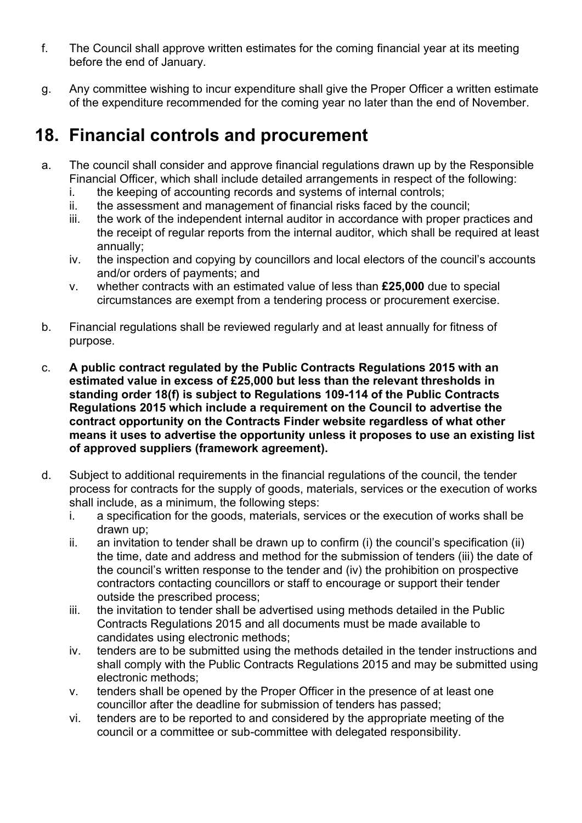- f. The Council shall approve written estimates for the coming financial year at its meeting before the end of January.
- g. Any committee wishing to incur expenditure shall give the Proper Officer a written estimate of the expenditure recommended for the coming year no later than the end of November.

#### <span id="page-19-0"></span>**18. Financial controls and procurement**

- a. The council shall consider and approve financial regulations drawn up by the Responsible Financial Officer, which shall include detailed arrangements in respect of the following:
	- i. the keeping of accounting records and systems of internal controls;
	- ii. the assessment and management of financial risks faced by the council;
	- iii. the work of the independent internal auditor in accordance with proper practices and the receipt of regular reports from the internal auditor, which shall be required at least annually;
	- iv. the inspection and copying by councillors and local electors of the council's accounts and/or orders of payments; and
	- v. whether contracts with an estimated value of less than **£25,000** due to special circumstances are exempt from a tendering process or procurement exercise.
- b. Financial regulations shall be reviewed regularly and at least annually for fitness of purpose.
- c. **A public contract regulated by the Public Contracts Regulations 2015 with an estimated value in excess of £25,000 but less than the relevant thresholds in standing order 18(f) is subject to Regulations 109-114 of the Public Contracts Regulations 2015 which include a requirement on the Council to advertise the contract opportunity on the Contracts Finder website regardless of what other means it uses to advertise the opportunity unless it proposes to use an existing list of approved suppliers (framework agreement).**
- d. Subject to additional requirements in the financial regulations of the council, the tender process for contracts for the supply of goods, materials, services or the execution of works shall include, as a minimum, the following steps:
	- i. a specification for the goods, materials, services or the execution of works shall be drawn up;
	- ii. an invitation to tender shall be drawn up to confirm (i) the council's specification (ii) the time, date and address and method for the submission of tenders (iii) the date of the council's written response to the tender and (iv) the prohibition on prospective contractors contacting councillors or staff to encourage or support their tender outside the prescribed process;
	- iii. the invitation to tender shall be advertised using methods detailed in the Public Contracts Regulations 2015 and all documents must be made available to candidates using electronic methods;
	- iv. tenders are to be submitted using the methods detailed in the tender instructions and shall comply with the Public Contracts Regulations 2015 and may be submitted using electronic methods;
	- v. tenders shall be opened by the Proper Officer in the presence of at least one councillor after the deadline for submission of tenders has passed;
	- vi. tenders are to be reported to and considered by the appropriate meeting of the council or a committee or sub-committee with delegated responsibility.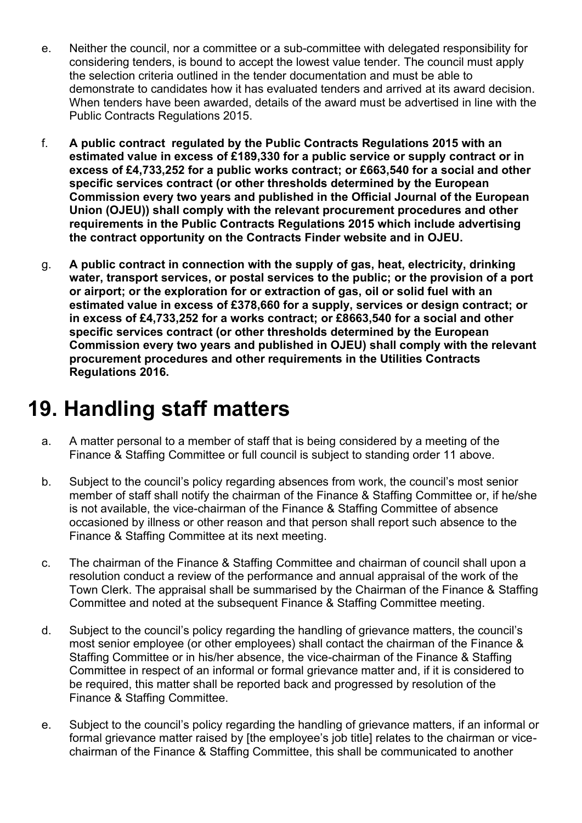- e. Neither the council, nor a committee or a sub-committee with delegated responsibility for considering tenders, is bound to accept the lowest value tender. The council must apply the selection criteria outlined in the tender documentation and must be able to demonstrate to candidates how it has evaluated tenders and arrived at its award decision. When tenders have been awarded, details of the award must be advertised in line with the Public Contracts Regulations 2015.
- f. **A public contract regulated by the Public Contracts Regulations 2015 with an estimated value in excess of £189,330 for a public service or supply contract or in excess of £4,733,252 for a public works contract; or £663,540 for a social and other specific services contract (or other thresholds determined by the European Commission every two years and published in the Official Journal of the European Union (OJEU)) shall comply with the relevant procurement procedures and other requirements in the Public Contracts Regulations 2015 which include advertising the contract opportunity on the Contracts Finder website and in OJEU.**
- g. **A public contract in connection with the supply of gas, heat, electricity, drinking water, transport services, or postal services to the public; or the provision of a port or airport; or the exploration for or extraction of gas, oil or solid fuel with an estimated value in excess of £378,660 for a supply, services or design contract; or in excess of £4,733,252 for a works contract; or £8663,540 for a social and other specific services contract (or other thresholds determined by the European Commission every two years and published in OJEU) shall comply with the relevant procurement procedures and other requirements in the Utilities Contracts Regulations 2016.**

# <span id="page-20-0"></span>**19. Handling staff matters**

- a. A matter personal to a member of staff that is being considered by a meeting of the Finance & Staffing Committee or full council is subject to standing order 11 above.
- b. Subject to the council's policy regarding absences from work, the council's most senior member of staff shall notify the chairman of the Finance & Staffing Committee or, if he/she is not available, the vice-chairman of the Finance & Staffing Committee of absence occasioned by illness or other reason and that person shall report such absence to the Finance & Staffing Committee at its next meeting.
- c. The chairman of the Finance & Staffing Committee and chairman of council shall upon a resolution conduct a review of the performance and annual appraisal of the work of the Town Clerk. The appraisal shall be summarised by the Chairman of the Finance & Staffing Committee and noted at the subsequent Finance & Staffing Committee meeting.
- d. Subject to the council's policy regarding the handling of grievance matters, the council's most senior employee (or other employees) shall contact the chairman of the Finance & Staffing Committee or in his/her absence, the vice-chairman of the Finance & Staffing Committee in respect of an informal or formal grievance matter and, if it is considered to be required, this matter shall be reported back and progressed by resolution of the Finance & Staffing Committee.
- e. Subject to the council's policy regarding the handling of grievance matters, if an informal or formal grievance matter raised by [the employee's job title] relates to the chairman or vicechairman of the Finance & Staffing Committee, this shall be communicated to another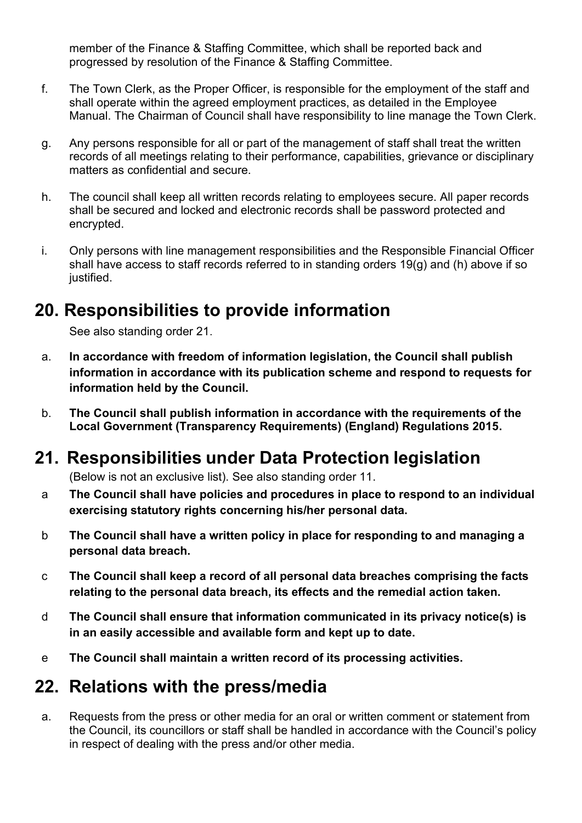member of the Finance & Staffing Committee, which shall be reported back and progressed by resolution of the Finance & Staffing Committee.

- f. The Town Clerk, as the Proper Officer, is responsible for the employment of the staff and shall operate within the agreed employment practices, as detailed in the Employee Manual. The Chairman of Council shall have responsibility to line manage the Town Clerk.
- g. Any persons responsible for all or part of the management of staff shall treat the written records of all meetings relating to their performance, capabilities, grievance or disciplinary matters as confidential and secure.
- h. The council shall keep all written records relating to employees secure. All paper records shall be secured and locked and electronic records shall be password protected and encrypted.
- i. Only persons with line management responsibilities and the Responsible Financial Officer shall have access to staff records referred to in standing orders 19(g) and (h) above if so justified.

#### <span id="page-21-0"></span>**20. Responsibilities to provide information**

See also standing order 21.

- a. **In accordance with freedom of information legislation, the Council shall publish information in accordance with its publication scheme and respond to requests for information held by the Council.**
- b. **The Council shall publish information in accordance with the requirements of the Local Government (Transparency Requirements) (England) Regulations 2015.**

#### **21.****Responsibilities under Data Protection legislation**

<span id="page-21-1"></span>(Below is not an exclusive list). See also standing order 11.

- a **The Council shall have policies and procedures in place to respond to an individual exercising statutory rights concerning his/her personal data.**
- b **The Council shall have a written policy in place for responding to and managing a personal data breach.**
- c **The Council shall keep a record of all personal data breaches comprising the facts relating to the personal data breach, its effects and the remedial action taken.**
- d **The Council shall ensure that information communicated in its privacy notice(s) is in an easily accessible and available form and kept up to date.**
- e **The Council shall maintain a written record of its processing activities.**

#### <span id="page-21-2"></span>**22. Relations with the press/media**

a. Requests from the press or other media for an oral or written comment or statement from the Council, its councillors or staff shall be handled in accordance with the Council's policy in respect of dealing with the press and/or other media.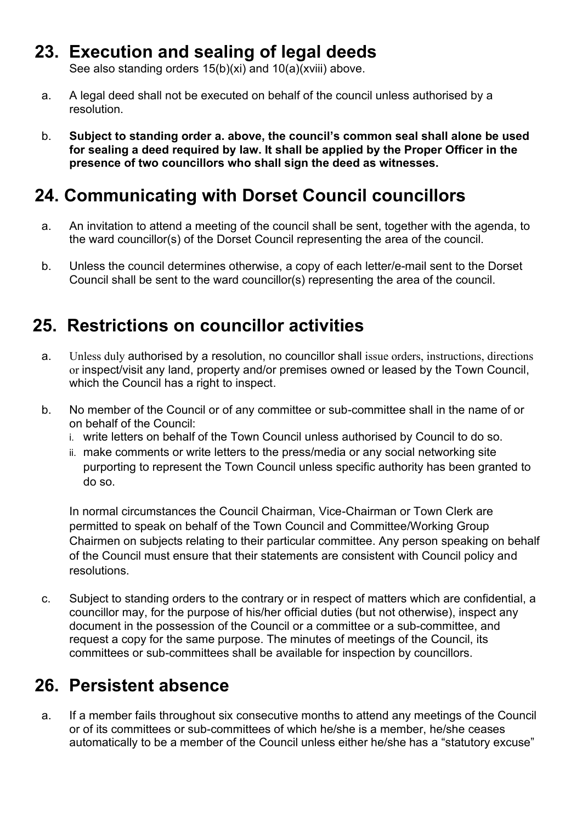#### <span id="page-22-3"></span>**23. Execution and sealing of legal deeds**

<span id="page-22-0"></span>See also standing orders 15(b)(xi) and 10(a)(xviii) above.

- a. A legal deed shall not be executed on behalf of the council unless authorised by a resolution.
- b. **Subject to standing order a. above, the council's common seal shall alone be used for sealing a deed required by law. It shall be applied by the Proper Officer in the presence of two councillors who shall sign the deed as witnesses.**

#### <span id="page-22-1"></span>**24. Communicating with Dorset Council councillors**

- a. An invitation to attend a meeting of the council shall be sent, together with the agenda, to the ward councillor(s) of the Dorset Council representing the area of the council.
- b. Unless the council determines otherwise, a copy of each letter/e-mail sent to the Dorset Council shall be sent to the ward councillor(s) representing the area of the council.

#### <span id="page-22-2"></span> **25. Restrictions on councillor activities**

- a. Unless duly authorised by a resolution, no councillor shall issue orders, instructions, directions or inspect/visit any land, property and/or premises owned or leased by the Town Council, which the Council has a right to inspect.
- b. No member of the Council or of any committee or sub-committee shall in the name of or on behalf of the Council:
	- i. write letters on behalf of the Town Council unless authorised by Council to do so.
	- ii. make comments or write letters to the press/media or any social networking site purporting to represent the Town Council unless specific authority has been granted to do so.

 In normal circumstances the Council Chairman, Vice-Chairman or Town Clerk are permitted to speak on behalf of the Town Council and Committee/Working Group Chairmen on subjects relating to their particular committee. Any person speaking on behalf of the Council must ensure that their statements are consistent with Council policy and resolutions.

c. Subject to standing orders to the contrary or in respect of matters which are confidential, a councillor may, for the purpose of his/her official duties (but not otherwise), inspect any document in the possession of the Council or a committee or a sub-committee, and request a copy for the same purpose. The minutes of meetings of the Council, its committees or sub-committees shall be available for inspection by councillors.

# **26. Persistent absence**

a. If a member fails throughout six consecutive months to attend any meetings of the Council or of its committees or sub-committees of which he/she is a member, he/she ceases automatically to be a member of the Council unless either he/she has a "statutory excuse"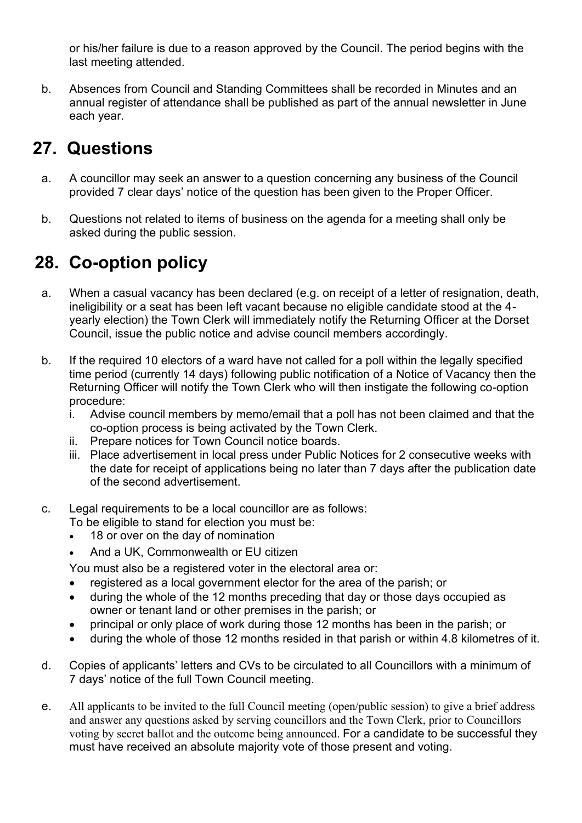or his/her failure is due to a reason approved by the Council. The period begins with the last meeting attended.

b. Absences from Council and Standing Committees shall be recorded in Minutes and an annual register of attendance shall be published as part of the annual newsletter in June each year.

#### <span id="page-23-0"></span>**27. Questions**

- a. A councillor may seek an answer to a question concerning any business of the Council provided 7 clear days' notice of the question has been given to the Proper Officer.
- b. Questions not related to items of business on the agenda for a meeting shall only be asked during the public session.

#### <span id="page-23-1"></span>**28. Co-option policy**

- a. When a casual vacancy has been declared (e.g. on receipt of a letter of resignation, death, ineligibility or a seat has been left vacant because no eligible candidate stood at the 4 yearly election) the Town Clerk will immediately notify the Returning Officer at the Dorset Council, issue the public notice and advise council members accordingly.
- b. If the required 10 electors of a ward have not called for a poll within the legally specified time period (currently 14 days) following public notification of a Notice of Vacancy then the Returning Officer will notify the Town Clerk who will then instigate the following co-option procedure:
	- i. Advise council members by memo/email that a poll has not been claimed and that the co-option process is being activated by the Town Clerk.
	- ii. Prepare notices for Town Council notice boards.
	- iii. Place advertisement in local press under Public Notices for 2 consecutive weeks with the date for receipt of applications being no later than 7 days after the publication date of the second advertisement.
- c. Legal requirements to be a local councillor are as follows:

To be eligible to stand for election you must be:

- 18 or over on the day of nomination
- And a UK, Commonwealth or EU citizen

You must also be a registered voter in the electoral area or:

- registered as a local government elector for the area of the parish; or
- during the whole of the 12 months preceding that day or those days occupied as owner or tenant land or other premises in the parish; or
- principal or only place of work during those 12 months has been in the parish; or
- during the whole of those 12 months resided in that parish or within 4.8 kilometres of it.
- d. Copies of applicants' letters and CVs to be circulated to all Councillors with a minimum of 7 days' notice of the full Town Council meeting.
- e. All applicants to be invited to the full Council meeting (open/public session) to give a brief address and answer any questions asked by serving councillors and the Town Clerk, prior to Councillors voting by secret ballot and the outcome being announced. For a candidate to be successful they must have received an absolute majority vote of those present and voting.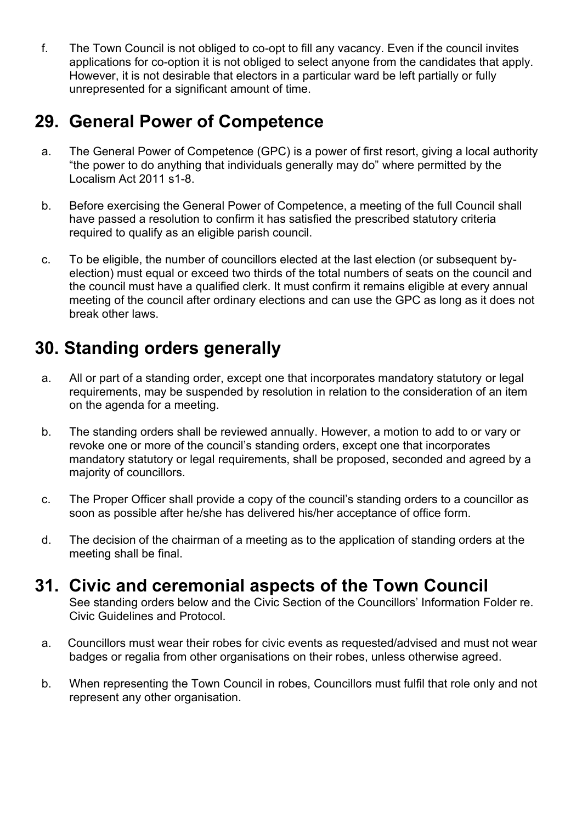f. The Town Council is not obliged to co-opt to fill any vacancy. Even if the council invites applications for co-option it is not obliged to select anyone from the candidates that apply. However, it is not desirable that electors in a particular ward be left partially or fully unrepresented for a significant amount of time.

#### <span id="page-24-0"></span>**29. General Power of Competence**

- a. The General Power of Competence (GPC) is a power of first resort, giving a local authority "the power to do anything that individuals generally may do" where permitted by the Localism Act 2011 s1-8.
- b. Before exercising the General Power of Competence, a meeting of the full Council shall have passed a resolution to confirm it has satisfied the prescribed statutory criteria required to qualify as an eligible parish council.
- c. To be eligible, the number of councillors elected at the last election (or subsequent byelection) must equal or exceed two thirds of the total numbers of seats on the council and the council must have a qualified clerk. It must confirm it remains eligible at every annual meeting of the council after ordinary elections and can use the GPC as long as it does not break other laws.

#### <span id="page-24-1"></span>**30. Standing orders generally**

- a. All or part of a standing order, except one that incorporates mandatory statutory or legal requirements, may be suspended by resolution in relation to the consideration of an item on the agenda for a meeting.
- b. The standing orders shall be reviewed annually. However, a motion to add to or vary or revoke one or more of the council's standing orders, except one that incorporates mandatory statutory or legal requirements, shall be proposed, seconded and agreed by a majority of councillors.
- c. The Proper Officer shall provide a copy of the council's standing orders to a councillor as soon as possible after he/she has delivered his/her acceptance of office form.
- d. The decision of the chairman of a meeting as to the application of standing orders at the meeting shall be final.

#### <span id="page-24-2"></span>**31. Civic and ceremonial aspects of the Town Council**

See standing orders below and the Civic Section of the Councillors' Information Folder re. Civic Guidelines and Protocol.

- a. Councillors must wear their robes for civic events as requested/advised and must not wear badges or regalia from other organisations on their robes, unless otherwise agreed.
- b. When representing the Town Council in robes, Councillors must fulfil that role only and not represent any other organisation.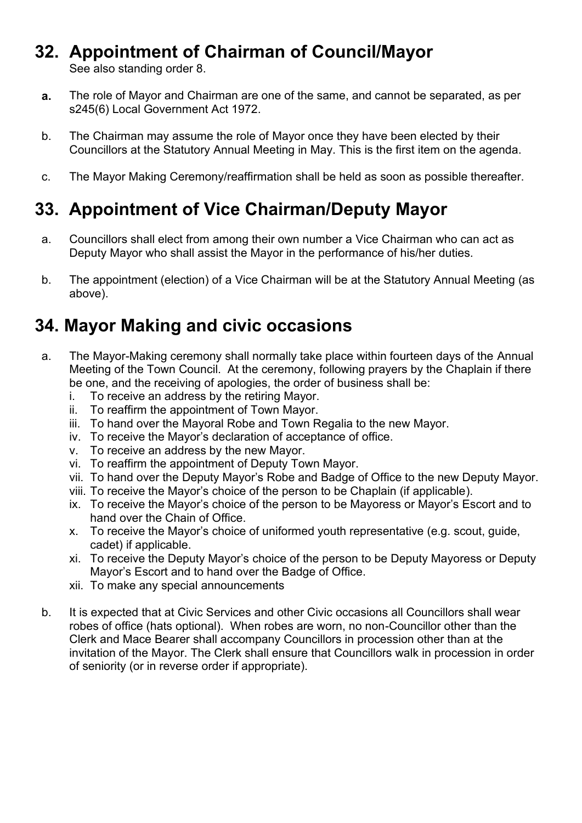#### **32. Appointment of Chairman of Council/Mayor**

<span id="page-25-0"></span>See also standing order 8.

- **a.** The role of Mayor and Chairman are one of the same, and cannot be separated, as per s245(6) Local Government Act 1972.
- b. The Chairman may assume the role of Mayor once they have been elected by their Councillors at the Statutory Annual Meeting in May. This is the first item on the agenda.
- c. The Mayor Making Ceremony/reaffirmation shall be held as soon as possible thereafter.

### <span id="page-25-1"></span>**33. Appointment of Vice Chairman/Deputy Mayor**

- a. Councillors shall elect from among their own number a Vice Chairman who can act as Deputy Mayor who shall assist the Mayor in the performance of his/her duties.
- b. The appointment (election) of a Vice Chairman will be at the Statutory Annual Meeting (as above).

#### <span id="page-25-2"></span>**34. Mayor Making and civic occasions**

- a. The Mayor-Making ceremony shall normally take place within fourteen days of the Annual Meeting of the Town Council. At the ceremony, following prayers by the Chaplain if there be one, and the receiving of apologies, the order of business shall be:
	- i. To receive an address by the retiring Mayor.
	- ii. To reaffirm the appointment of Town Mayor.
	- iii. To hand over the Mayoral Robe and Town Regalia to the new Mayor.
	- iv. To receive the Mayor's declaration of acceptance of office.
	- v. To receive an address by the new Mayor.
	- vi. To reaffirm the appointment of Deputy Town Mayor.
	- vii. To hand over the Deputy Mayor's Robe and Badge of Office to the new Deputy Mayor.
	- viii. To receive the Mayor's choice of the person to be Chaplain (if applicable).
	- ix. To receive the Mayor's choice of the person to be Mayoress or Mayor's Escort and to hand over the Chain of Office.
	- x. To receive the Mayor's choice of uniformed youth representative (e.g. scout, guide, cadet) if applicable.
	- xi. To receive the Deputy Mayor's choice of the person to be Deputy Mayoress or Deputy Mayor's Escort and to hand over the Badge of Office.
	- xii. To make any special announcements
- b. It is expected that at Civic Services and other Civic occasions all Councillors shall wear robes of office (hats optional). When robes are worn, no non-Councillor other than the Clerk and Mace Bearer shall accompany Councillors in procession other than at the invitation of the Mayor. The Clerk shall ensure that Councillors walk in procession in order of seniority (or in reverse order if appropriate).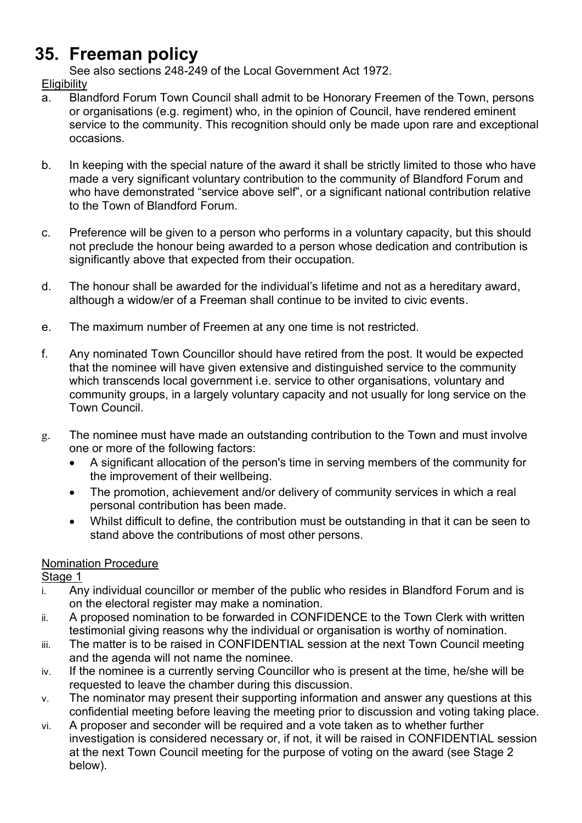### <span id="page-26-0"></span>**35. Freeman policy**

See also sections 248-249 of the Local Government Act 1972.

#### **Eligibility**

- a. Blandford Forum Town Council shall admit to be Honorary Freemen of the Town, persons or organisations (e.g. regiment) who, in the opinion of Council, have rendered eminent service to the community. This recognition should only be made upon rare and exceptional occasions.
- b. In keeping with the special nature of the award it shall be strictly limited to those who have made a very significant voluntary contribution to the community of Blandford Forum and who have demonstrated "service above self", or a significant national contribution relative to the Town of Blandford Forum.
- c. Preference will be given to a person who performs in a voluntary capacity, but this should not preclude the honour being awarded to a person whose dedication and contribution is significantly above that expected from their occupation.
- d. The honour shall be awarded for the individual's lifetime and not as a hereditary award, although a widow/er of a Freeman shall continue to be invited to civic events.
- e. The maximum number of Freemen at any one time is not restricted.
- f. Any nominated Town Councillor should have retired from the post. It would be expected that the nominee will have given extensive and distinguished service to the community which transcends local government i.e. service to other organisations, voluntary and community groups, in a largely voluntary capacity and not usually for long service on the Town Council.
- g. The nominee must have made an outstanding contribution to the Town and must involve one or more of the following factors:
	- A significant allocation of the person's time in serving members of the community for the improvement of their wellbeing.
	- The promotion, achievement and/or delivery of community services in which a real personal contribution has been made.
	- Whilst difficult to define, the contribution must be outstanding in that it can be seen to stand above the contributions of most other persons.

#### Nomination Procedure

Stage 1

- i. Any individual councillor or member of the public who resides in Blandford Forum and is on the electoral register may make a nomination.
- ii. A proposed nomination to be forwarded in CONFIDENCE to the Town Clerk with written testimonial giving reasons why the individual or organisation is worthy of nomination.
- iii. The matter is to be raised in CONFIDENTIAL session at the next Town Council meeting and the agenda will not name the nominee.
- iv. If the nominee is a currently serving Councillor who is present at the time, he/she will be requested to leave the chamber during this discussion.
- v. The nominator may present their supporting information and answer any questions at this confidential meeting before leaving the meeting prior to discussion and voting taking place.
- vi. A proposer and seconder will be required and a vote taken as to whether further investigation is considered necessary or, if not, it will be raised in CONFIDENTIAL session at the next Town Council meeting for the purpose of voting on the award (see Stage 2 below).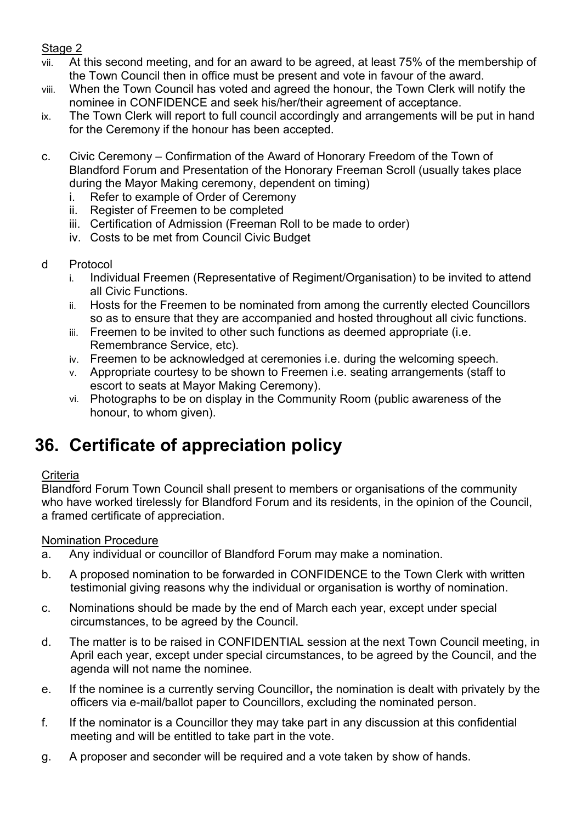#### Stage 2

- vii. At this second meeting, and for an award to be agreed, at least 75% of the membership of the Town Council then in office must be present and vote in favour of the award.
- viii. When the Town Council has voted and agreed the honour, the Town Clerk will notify the nominee in CONFIDENCE and seek his/her/their agreement of acceptance.
- ix. The Town Clerk will report to full council accordingly and arrangements will be put in hand for the Ceremony if the honour has been accepted.
- c. Civic Ceremony Confirmation of the Award of Honorary Freedom of the Town of Blandford Forum and Presentation of the Honorary Freeman Scroll (usually takes place during the Mayor Making ceremony, dependent on timing)
	- i. Refer to example of Order of Ceremony
	- ii. Register of Freemen to be completed
	- iii. Certification of Admission (Freeman Roll to be made to order)
	- iv. Costs to be met from Council Civic Budget
- d Protocol
	- i. Individual Freemen (Representative of Regiment/Organisation) to be invited to attend all Civic Functions.
	- ii. Hosts for the Freemen to be nominated from among the currently elected Councillors so as to ensure that they are accompanied and hosted throughout all civic functions.
	- iii. Freemen to be invited to other such functions as deemed appropriate (i.e. Remembrance Service, etc).
	- iv. Freemen to be acknowledged at ceremonies i.e. during the welcoming speech.
	- v. Appropriate courtesy to be shown to Freemen i.e. seating arrangements (staff to escort to seats at Mayor Making Ceremony).
	- vi. Photographs to be on display in the Community Room (public awareness of the honour, to whom given).

#### <span id="page-27-0"></span>**36. Certificate of appreciation policy**

#### **Criteria**

Blandford Forum Town Council shall present to members or organisations of the community who have worked tirelessly for Blandford Forum and its residents, in the opinion of the Council, a framed certificate of appreciation.

#### Nomination Procedure

- a. Any individual or councillor of Blandford Forum may make a nomination.
- b. A proposed nomination to be forwarded in CONFIDENCE to the Town Clerk with written testimonial giving reasons why the individual or organisation is worthy of nomination.
- c. Nominations should be made by the end of March each year, except under special circumstances, to be agreed by the Council.
- d. The matter is to be raised in CONFIDENTIAL session at the next Town Council meeting, in April each year, except under special circumstances, to be agreed by the Council, and the agenda will not name the nominee.
- e. If the nominee is a currently serving Councillor**,** the nomination is dealt with privately by the officers via e-mail/ballot paper to Councillors, excluding the nominated person.
- f. If the nominator is a Councillor they may take part in any discussion at this confidential meeting and will be entitled to take part in the vote.
- g. A proposer and seconder will be required and a vote taken by show of hands.